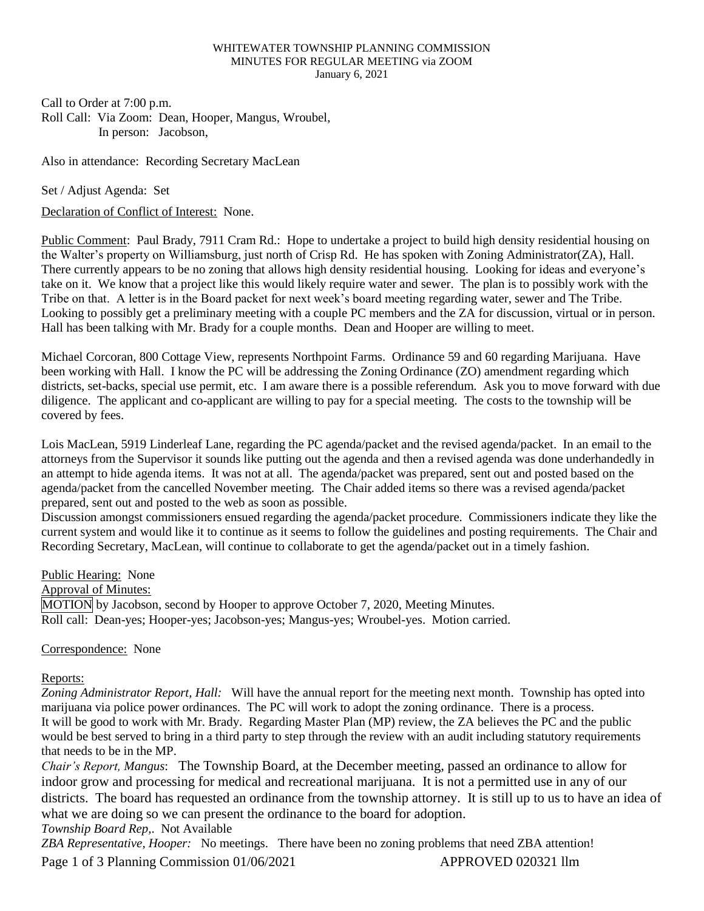## WHITEWATER TOWNSHIP PLANNING COMMISSION MINUTES FOR REGULAR MEETING via ZOOM January 6, 2021

Call to Order at 7:00 p.m. Roll Call: Via Zoom: Dean, Hooper, Mangus, Wroubel, In person: Jacobson,

Also in attendance: Recording Secretary MacLean

Set / Adjust Agenda: Set

Declaration of Conflict of Interest: None.

Public Comment: Paul Brady, 7911 Cram Rd.: Hope to undertake a project to build high density residential housing on the Walter's property on Williamsburg, just north of Crisp Rd. He has spoken with Zoning Administrator(ZA), Hall. There currently appears to be no zoning that allows high density residential housing. Looking for ideas and everyone's take on it. We know that a project like this would likely require water and sewer. The plan is to possibly work with the Tribe on that. A letter is in the Board packet for next week's board meeting regarding water, sewer and The Tribe. Looking to possibly get a preliminary meeting with a couple PC members and the ZA for discussion, virtual or in person. Hall has been talking with Mr. Brady for a couple months. Dean and Hooper are willing to meet.

Michael Corcoran, 800 Cottage View, represents Northpoint Farms. Ordinance 59 and 60 regarding Marijuana. Have been working with Hall. I know the PC will be addressing the Zoning Ordinance (ZO) amendment regarding which districts, set-backs, special use permit, etc. I am aware there is a possible referendum. Ask you to move forward with due diligence. The applicant and co-applicant are willing to pay for a special meeting. The costs to the township will be covered by fees.

Lois MacLean, 5919 Linderleaf Lane, regarding the PC agenda/packet and the revised agenda/packet. In an email to the attorneys from the Supervisor it sounds like putting out the agenda and then a revised agenda was done underhandedly in an attempt to hide agenda items. It was not at all. The agenda/packet was prepared, sent out and posted based on the agenda/packet from the cancelled November meeting. The Chair added items so there was a revised agenda/packet prepared, sent out and posted to the web as soon as possible.

Discussion amongst commissioners ensued regarding the agenda/packet procedure. Commissioners indicate they like the current system and would like it to continue as it seems to follow the guidelines and posting requirements. The Chair and Recording Secretary, MacLean, will continue to collaborate to get the agenda/packet out in a timely fashion.

Public Hearing: None Approval of Minutes: MOTION by Jacobson, second by Hooper to approve October 7, 2020, Meeting Minutes. Roll call: Dean-yes; Hooper-yes; Jacobson-yes; Mangus-yes; Wroubel-yes. Motion carried.

## Correspondence: None

## Reports:

*Zoning Administrator Report, Hall:* Will have the annual report for the meeting next month. Township has opted into marijuana via police power ordinances. The PC will work to adopt the zoning ordinance. There is a process. It will be good to work with Mr. Brady. Regarding Master Plan (MP) review, the ZA believes the PC and the public would be best served to bring in a third party to step through the review with an audit including statutory requirements that needs to be in the MP.

*Chair's Report, Mangus*: The Township Board, at the December meeting, passed an ordinance to allow for indoor grow and processing for medical and recreational marijuana. It is not a permitted use in any of our districts. The board has requested an ordinance from the township attorney. It is still up to us to have an idea of what we are doing so we can present the ordinance to the board for adoption.

*Township Board Rep,*. Not Available

Page 1 of 3 Planning Commission 01/06/2021 APPROVED 020321 llm *ZBA Representative, Hooper:* No meetings. There have been no zoning problems that need ZBA attention!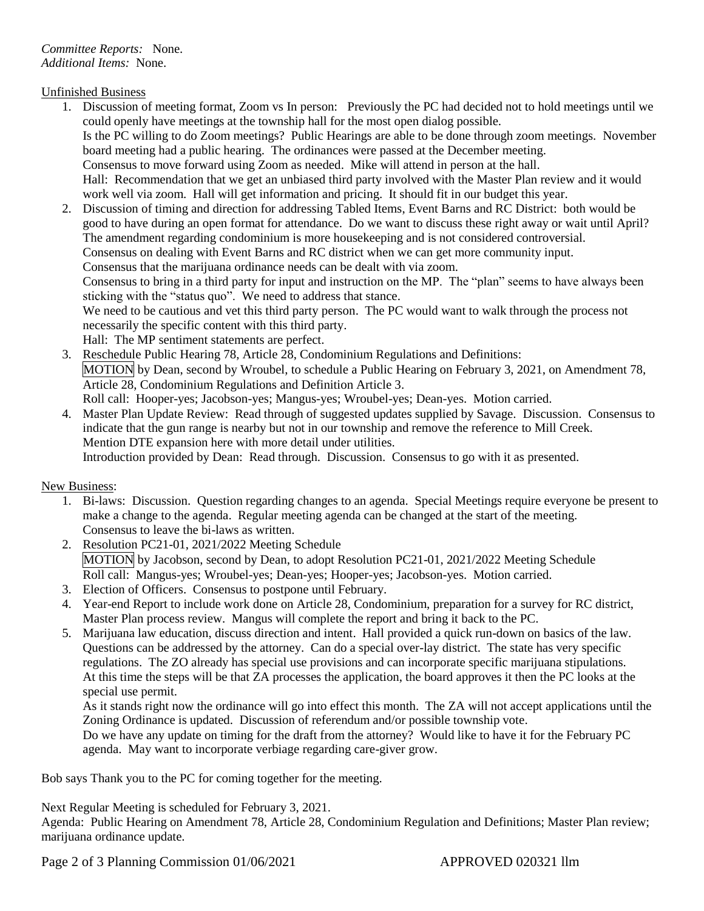Unfinished Business

- 1. Discussion of meeting format, Zoom vs In person: Previously the PC had decided not to hold meetings until we could openly have meetings at the township hall for the most open dialog possible. Is the PC willing to do Zoom meetings? Public Hearings are able to be done through zoom meetings. November board meeting had a public hearing. The ordinances were passed at the December meeting. Consensus to move forward using Zoom as needed. Mike will attend in person at the hall. Hall: Recommendation that we get an unbiased third party involved with the Master Plan review and it would work well via zoom. Hall will get information and pricing. It should fit in our budget this year.
- 2. Discussion of timing and direction for addressing Tabled Items, Event Barns and RC District: both would be good to have during an open format for attendance. Do we want to discuss these right away or wait until April? The amendment regarding condominium is more housekeeping and is not considered controversial. Consensus on dealing with Event Barns and RC district when we can get more community input. Consensus that the marijuana ordinance needs can be dealt with via zoom. Consensus to bring in a third party for input and instruction on the MP. The "plan" seems to have always been sticking with the "status quo". We need to address that stance. We need to be cautious and vet this third party person. The PC would want to walk through the process not necessarily the specific content with this third party. Hall: The MP sentiment statements are perfect.
- 3. Reschedule Public Hearing 78, Article 28, Condominium Regulations and Definitions: MOTION by Dean, second by Wroubel, to schedule a Public Hearing on February 3, 2021, on Amendment 78, Article 28, Condominium Regulations and Definition Article 3. Roll call: Hooper-yes; Jacobson-yes; Mangus-yes; Wroubel-yes; Dean-yes. Motion carried.
- 4. Master Plan Update Review: Read through of suggested updates supplied by Savage. Discussion. Consensus to indicate that the gun range is nearby but not in our township and remove the reference to Mill Creek. Mention DTE expansion here with more detail under utilities. Introduction provided by Dean: Read through. Discussion. Consensus to go with it as presented.

New Business:

- 1. Bi-laws: Discussion. Question regarding changes to an agenda. Special Meetings require everyone be present to make a change to the agenda. Regular meeting agenda can be changed at the start of the meeting. Consensus to leave the bi-laws as written.
- 2. Resolution PC21-01, 2021/2022 Meeting Schedule MOTION by Jacobson, second by Dean, to adopt Resolution PC21-01, 2021/2022 Meeting Schedule Roll call: Mangus-yes; Wroubel-yes; Dean-yes; Hooper-yes; Jacobson-yes. Motion carried.
- 3. Election of Officers. Consensus to postpone until February.
- 4. Year-end Report to include work done on Article 28, Condominium, preparation for a survey for RC district, Master Plan process review. Mangus will complete the report and bring it back to the PC.
- 5. Marijuana law education, discuss direction and intent. Hall provided a quick run-down on basics of the law. Questions can be addressed by the attorney. Can do a special over-lay district. The state has very specific regulations. The ZO already has special use provisions and can incorporate specific marijuana stipulations. At this time the steps will be that ZA processes the application, the board approves it then the PC looks at the special use permit.

As it stands right now the ordinance will go into effect this month. The ZA will not accept applications until the Zoning Ordinance is updated. Discussion of referendum and/or possible township vote.

Do we have any update on timing for the draft from the attorney? Would like to have it for the February PC agenda. May want to incorporate verbiage regarding care-giver grow.

Bob says Thank you to the PC for coming together for the meeting.

Next Regular Meeting is scheduled for February 3, 2021.

Agenda: Public Hearing on Amendment 78, Article 28, Condominium Regulation and Definitions; Master Plan review; marijuana ordinance update.

Page 2 of 3 Planning Commission 01/06/2021 APPROVED 020321 llm